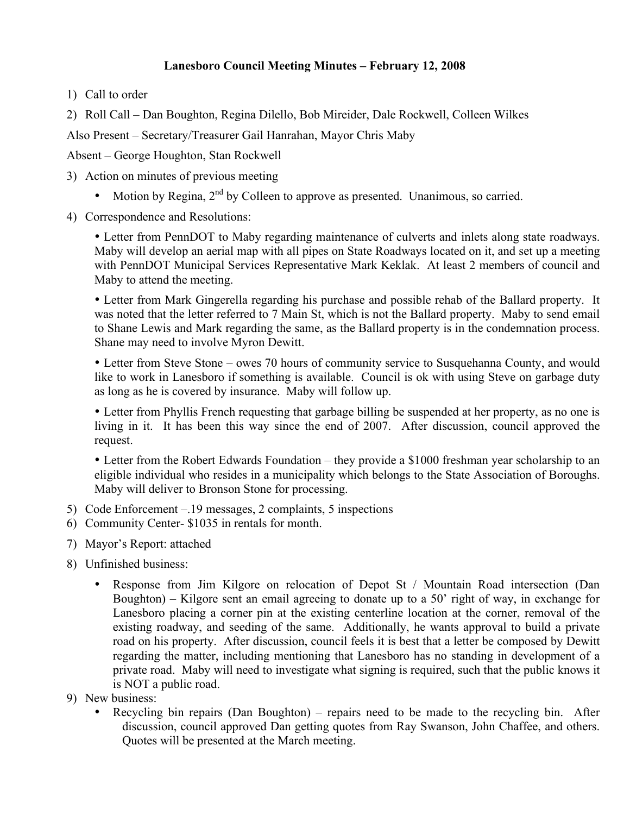## **Lanesboro Council Meeting Minutes – February 12, 2008**

1) Call to order

2) Roll Call – Dan Boughton, Regina Dilello, Bob Mireider, Dale Rockwell, Colleen Wilkes

Also Present – Secretary/Treasurer Gail Hanrahan, Mayor Chris Maby

Absent – George Houghton, Stan Rockwell

- 3) Action on minutes of previous meeting
	- Motion by Regina,  $2<sup>nd</sup>$  by Colleen to approve as presented. Unanimous, so carried.
- 4) Correspondence and Resolutions:

• Letter from PennDOT to Maby regarding maintenance of culverts and inlets along state roadways. Maby will develop an aerial map with all pipes on State Roadways located on it, and set up a meeting with PennDOT Municipal Services Representative Mark Keklak. At least 2 members of council and Maby to attend the meeting.

• Letter from Mark Gingerella regarding his purchase and possible rehab of the Ballard property. It was noted that the letter referred to 7 Main St, which is not the Ballard property. Maby to send email to Shane Lewis and Mark regarding the same, as the Ballard property is in the condemnation process. Shane may need to involve Myron Dewitt.

• Letter from Steve Stone – owes 70 hours of community service to Susquehanna County, and would like to work in Lanesboro if something is available. Council is ok with using Steve on garbage duty as long as he is covered by insurance. Maby will follow up.

• Letter from Phyllis French requesting that garbage billing be suspended at her property, as no one is living in it. It has been this way since the end of 2007. After discussion, council approved the request.

• Letter from the Robert Edwards Foundation – they provide a \$1000 freshman year scholarship to an eligible individual who resides in a municipality which belongs to the State Association of Boroughs. Maby will deliver to Bronson Stone for processing.

- 5) Code Enforcement –.19 messages, 2 complaints, 5 inspections
- 6) Community Center- \$1035 in rentals for month.
- 7) Mayor's Report: attached
- 8) Unfinished business:
	- Response from Jim Kilgore on relocation of Depot St / Mountain Road intersection (Dan Boughton) – Kilgore sent an email agreeing to donate up to a 50' right of way, in exchange for Lanesboro placing a corner pin at the existing centerline location at the corner, removal of the existing roadway, and seeding of the same. Additionally, he wants approval to build a private road on his property. After discussion, council feels it is best that a letter be composed by Dewitt regarding the matter, including mentioning that Lanesboro has no standing in development of a private road. Maby will need to investigate what signing is required, such that the public knows it is NOT a public road.
- 9) New business:
	- Recycling bin repairs (Dan Boughton) repairs need to be made to the recycling bin. After discussion, council approved Dan getting quotes from Ray Swanson, John Chaffee, and others. Quotes will be presented at the March meeting.